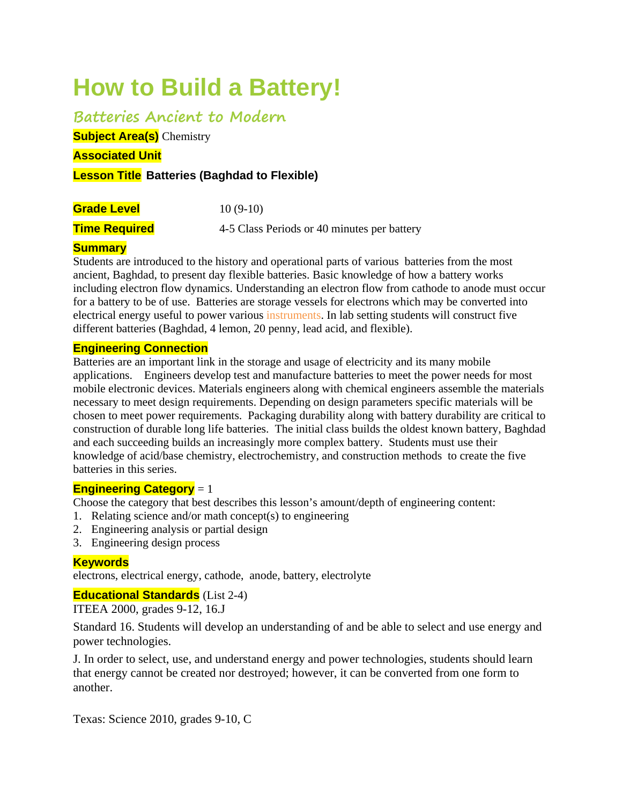# **How to Build a Battery!**

**Batteries Ancient to Modern**

**Subject Area(s)** Chemistry

**Associated Unit** 

## **Lesson Title Batteries (Baghdad to Flexible)**

**Grade Level** 10 (9-10)

**Time Required** 4-5 Class Periods or 40 minutes per battery

## **Summary**

Students are introduced to the history and operational parts of various batteries from the most ancient, Baghdad, to present day flexible batteries. Basic knowledge of how a battery works including electron flow dynamics. Understanding an electron flow from cathode to anode must occur for a battery to be of use. Batteries are storage vessels for electrons which may be converted into electrical energy useful to power various instruments. In lab setting students will construct five different batteries (Baghdad, 4 lemon, 20 penny, lead acid, and flexible).

## **Engineering Connection**

Batteries are an important link in the storage and usage of electricity and its many mobile applications. Engineers develop test and manufacture batteries to meet the power needs for most mobile electronic devices. Materials engineers along with chemical engineers assemble the materials necessary to meet design requirements. Depending on design parameters specific materials will be chosen to meet power requirements. Packaging durability along with battery durability are critical to construction of durable long life batteries. The initial class builds the oldest known battery, Baghdad and each succeeding builds an increasingly more complex battery. Students must use their knowledge of acid/base chemistry, electrochemistry, and construction methods to create the five batteries in this series.

## **Engineering Category** = 1

Choose the category that best describes this lesson's amount/depth of engineering content:

- 1. Relating science and/or math concept(s) to engineering
- 2. Engineering analysis or partial design
- 3. Engineering design process

## **Keywords**

electrons, electrical energy, cathode, anode, battery, electrolyte

## **Educational Standards** (List 2-4)

ITEEA 2000, grades 9-12, 16.J

Standard 16. Students will develop an understanding of and be able to select and use energy and power technologies.

J. In order to select, use, and understand energy and power technologies, students should learn that energy cannot be created nor destroyed; however, it can be converted from one form to another.

Texas: Science 2010, grades 9-10, C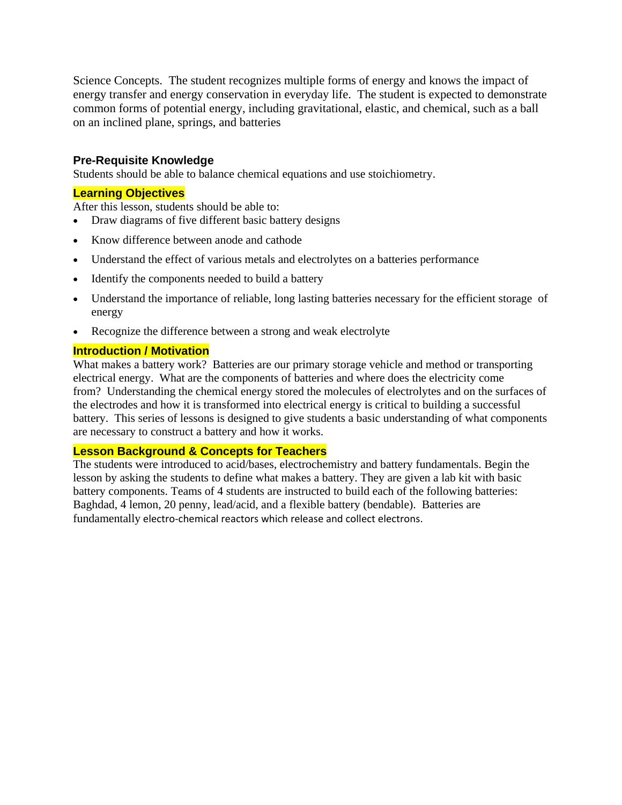Science Concepts. The student recognizes multiple forms of energy and knows the impact of energy transfer and energy conservation in everyday life. The student is expected to demonstrate common forms of potential energy, including gravitational, elastic, and chemical, such as a ball on an inclined plane, springs, and batteries

## **Pre-Requisite Knowledge**

Students should be able to balance chemical equations and use stoichiometry.

## **Learning Objectives**

After this lesson, students should be able to:

- Draw diagrams of five different basic battery designs
- Know difference between anode and cathode
- Understand the effect of various metals and electrolytes on a batteries performance
- Identify the components needed to build a battery
- Understand the importance of reliable, long lasting batteries necessary for the efficient storage of energy
- Recognize the difference between a strong and weak electrolyte

#### **Introduction / Motivation**

What makes a battery work? Batteries are our primary storage vehicle and method or transporting electrical energy. What are the components of batteries and where does the electricity come from? Understanding the chemical energy stored the molecules of electrolytes and on the surfaces of the electrodes and how it is transformed into electrical energy is critical to building a successful battery. This series of lessons is designed to give students a basic understanding of what components are necessary to construct a battery and how it works.

#### **Lesson Background & Concepts for Teachers**

The students were introduced to acid/bases, electrochemistry and battery fundamentals. Begin the lesson by asking the students to define what makes a battery. They are given a lab kit with basic battery components. Teams of 4 students are instructed to build each of the following batteries: Baghdad, 4 lemon, 20 penny, lead/acid, and a flexible battery (bendable). Batteries are fundamentally electro‐chemical reactors which release and collect electrons.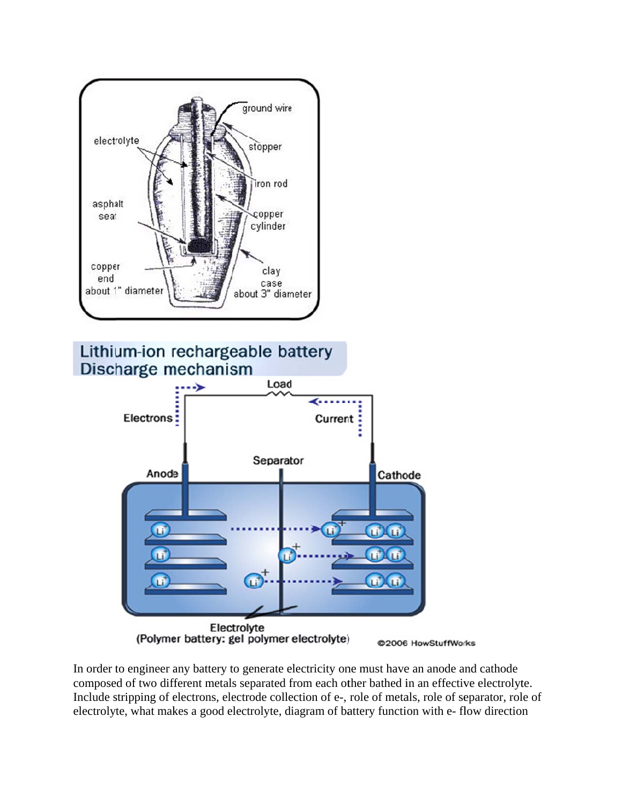





In order to engineer any battery to generate electricity one must have an anode and cathode composed of two different metals separated from each other bathed in an effective electrolyte. Include stripping of electrons, electrode collection of e-, role of metals, role of separator, role of electrolyte, what makes a good electrolyte, diagram of battery function with e-flow direction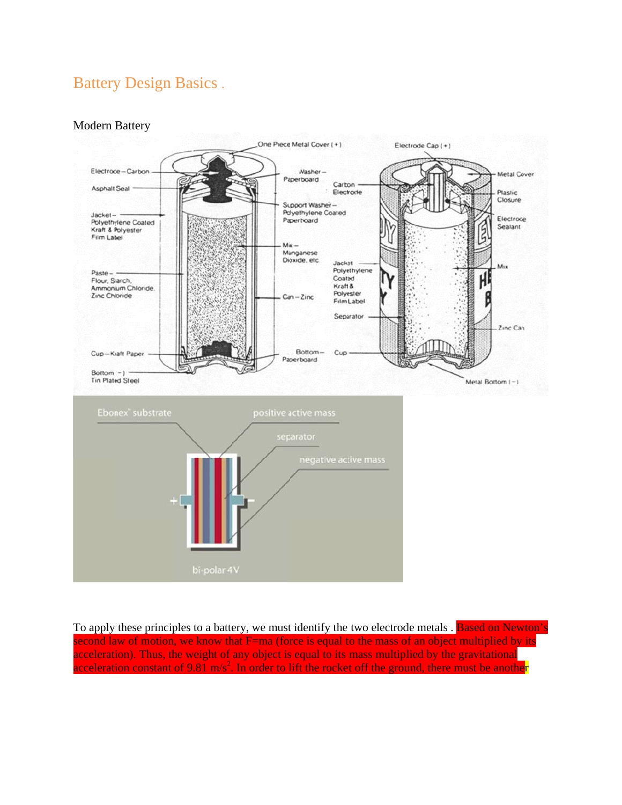## **Battery Design Basics.**

## Modern B Battery



To apply these principles to a battery, we must identify the two electrode metals . Based on Newton's second law of motion, we know that F=ma (force is equal to the mass of an object multiplied by its acceleration). Thus, the weight of any object is equal to its mass multiplied by the gravitational acceleration constant of 9.81 m/s<sup>2</sup>. In order to lift the rocket off the ground, there must be another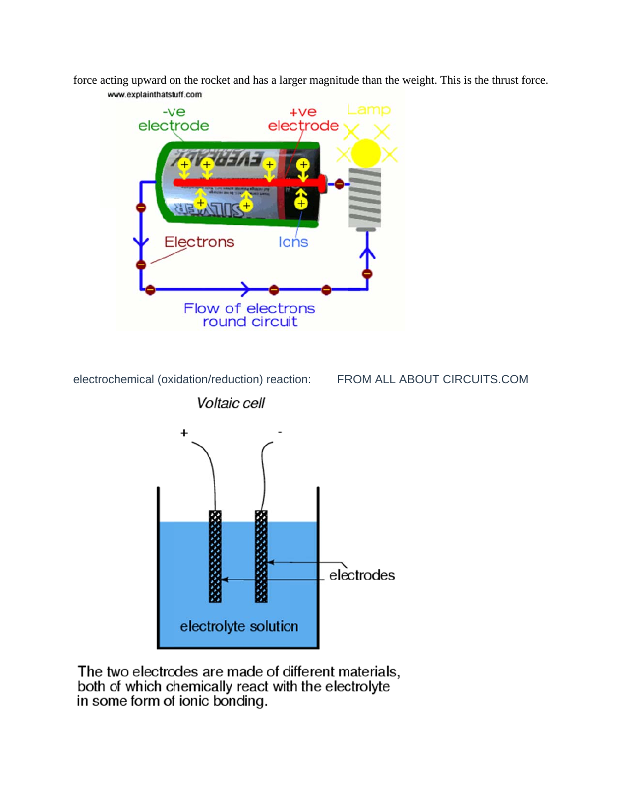force acting upward on the rocket and has a larger magnitude than the weight. This is the thrust force. www.explainthatstuff.com



electrochemical (oxidation/reduction) reaction:

FROM ALL ABOUT CIRCUITS.COM



The two electrodes are made of different materials,<br>both of which chemically react with the electrolyte in some form of ionic bonding.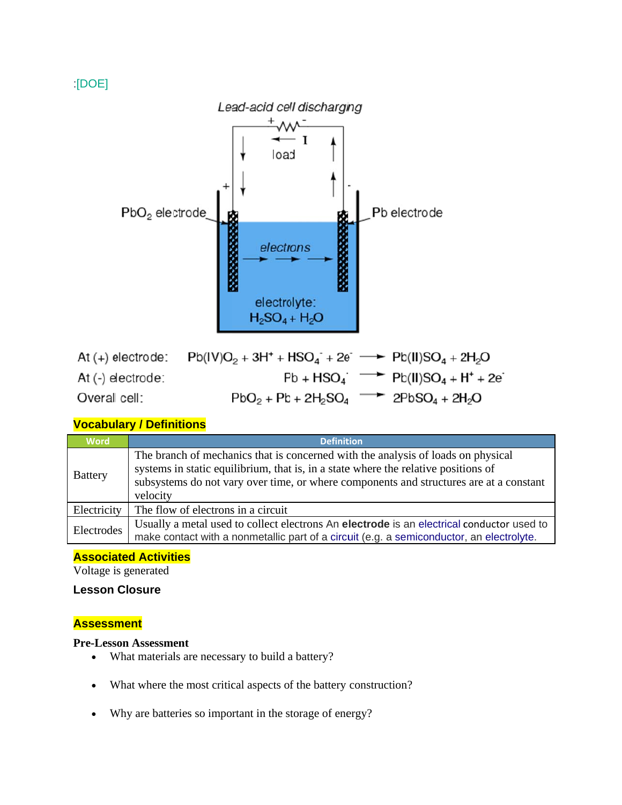## $[DOE]$



## **Vocabulary / Definitions**

| <b>Word</b>    | <b>Definition</b>                                                                                                                                                                                                                                                            |
|----------------|------------------------------------------------------------------------------------------------------------------------------------------------------------------------------------------------------------------------------------------------------------------------------|
| <b>Battery</b> | The branch of mechanics that is concerned with the analysis of loads on physical<br>systems in static equilibrium, that is, in a state where the relative positions of<br>subsystems do not vary over time, or where components and structures are at a constant<br>velocity |
| Electricity    | The flow of electrons in a circuit                                                                                                                                                                                                                                           |
| Electrodes     | Usually a metal used to collect electrons An electrode is an electrical conductor used to<br>make contact with a nonmetallic part of a circuit (e.g. a semiconductor, an electrolyte.                                                                                        |

#### **Associated Activities**

Voltage is generated

## **Lesson Closure**

#### **Assessment**

#### **Pre-Lesson Assessment**

- What materials are necessary to build a battery?  $\bullet$
- What where the most critical aspects of the battery construction?  $\bullet$
- Why are batteries so important in the storage of energy?  $\bullet$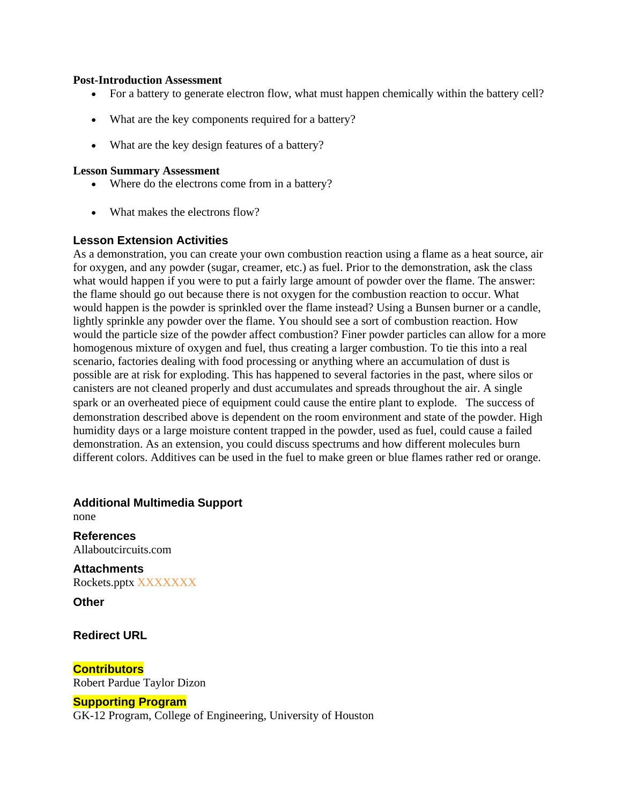#### **Post-Introduction Assessment**

- For a battery to generate electron flow, what must happen chemically within the battery cell?
- What are the key components required for a battery?
- What are the key design features of a battery?

#### **Lesson Summary Assessment**

- Where do the electrons come from in a battery?
- What makes the electrons flow?

## **Lesson Extension Activities**

As a demonstration, you can create your own combustion reaction using a flame as a heat source, air for oxygen, and any powder (sugar, creamer, etc.) as fuel. Prior to the demonstration, ask the class what would happen if you were to put a fairly large amount of powder over the flame. The answer: the flame should go out because there is not oxygen for the combustion reaction to occur. What would happen is the powder is sprinkled over the flame instead? Using a Bunsen burner or a candle, lightly sprinkle any powder over the flame. You should see a sort of combustion reaction. How would the particle size of the powder affect combustion? Finer powder particles can allow for a more homogenous mixture of oxygen and fuel, thus creating a larger combustion. To tie this into a real scenario, factories dealing with food processing or anything where an accumulation of dust is possible are at risk for exploding. This has happened to several factories in the past, where silos or canisters are not cleaned properly and dust accumulates and spreads throughout the air. A single spark or an overheated piece of equipment could cause the entire plant to explode. The success of demonstration described above is dependent on the room environment and state of the powder. High humidity days or a large moisture content trapped in the powder, used as fuel, could cause a failed demonstration. As an extension, you could discuss spectrums and how different molecules burn different colors. Additives can be used in the fuel to make green or blue flames rather red or orange.

**Additional Multimedia Support** none

**References** Allaboutcircuits.com

**Attachments** Rockets.pptx XXXXXXX

**Other**

**Redirect URL**

**Contributors** Robert Pardue Taylor Dizon

#### **Supporting Program**

GK-12 Program, College of Engineering, University of Houston